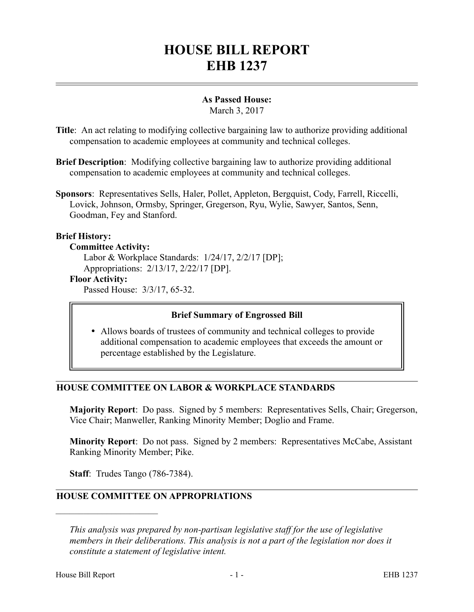# **HOUSE BILL REPORT EHB 1237**

### **As Passed House:**

March 3, 2017

- **Title**: An act relating to modifying collective bargaining law to authorize providing additional compensation to academic employees at community and technical colleges.
- **Brief Description**: Modifying collective bargaining law to authorize providing additional compensation to academic employees at community and technical colleges.
- **Sponsors**: Representatives Sells, Haler, Pollet, Appleton, Bergquist, Cody, Farrell, Riccelli, Lovick, Johnson, Ormsby, Springer, Gregerson, Ryu, Wylie, Sawyer, Santos, Senn, Goodman, Fey and Stanford.

### **Brief History:**

### **Committee Activity:**

Labor & Workplace Standards: 1/24/17, 2/2/17 [DP]; Appropriations: 2/13/17, 2/22/17 [DP].

#### **Floor Activity:**

Passed House: 3/3/17, 65-32.

### **Brief Summary of Engrossed Bill**

 Allows boards of trustees of community and technical colleges to provide additional compensation to academic employees that exceeds the amount or percentage established by the Legislature.

### **HOUSE COMMITTEE ON LABOR & WORKPLACE STANDARDS**

**Majority Report**: Do pass. Signed by 5 members: Representatives Sells, Chair; Gregerson, Vice Chair; Manweller, Ranking Minority Member; Doglio and Frame.

**Minority Report**: Do not pass. Signed by 2 members: Representatives McCabe, Assistant Ranking Minority Member; Pike.

**Staff**: Trudes Tango (786-7384).

––––––––––––––––––––––

## **HOUSE COMMITTEE ON APPROPRIATIONS**

*This analysis was prepared by non-partisan legislative staff for the use of legislative members in their deliberations. This analysis is not a part of the legislation nor does it constitute a statement of legislative intent.*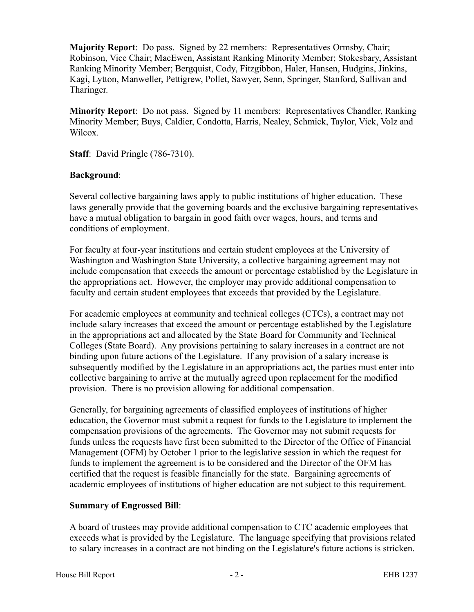**Majority Report**: Do pass. Signed by 22 members: Representatives Ormsby, Chair; Robinson, Vice Chair; MacEwen, Assistant Ranking Minority Member; Stokesbary, Assistant Ranking Minority Member; Bergquist, Cody, Fitzgibbon, Haler, Hansen, Hudgins, Jinkins, Kagi, Lytton, Manweller, Pettigrew, Pollet, Sawyer, Senn, Springer, Stanford, Sullivan and Tharinger.

**Minority Report**: Do not pass. Signed by 11 members: Representatives Chandler, Ranking Minority Member; Buys, Caldier, Condotta, Harris, Nealey, Schmick, Taylor, Vick, Volz and Wilcox.

**Staff**: David Pringle (786-7310).

### **Background**:

Several collective bargaining laws apply to public institutions of higher education. These laws generally provide that the governing boards and the exclusive bargaining representatives have a mutual obligation to bargain in good faith over wages, hours, and terms and conditions of employment.

For faculty at four-year institutions and certain student employees at the University of Washington and Washington State University, a collective bargaining agreement may not include compensation that exceeds the amount or percentage established by the Legislature in the appropriations act. However, the employer may provide additional compensation to faculty and certain student employees that exceeds that provided by the Legislature.

For academic employees at community and technical colleges (CTCs), a contract may not include salary increases that exceed the amount or percentage established by the Legislature in the appropriations act and allocated by the State Board for Community and Technical Colleges (State Board). Any provisions pertaining to salary increases in a contract are not binding upon future actions of the Legislature. If any provision of a salary increase is subsequently modified by the Legislature in an appropriations act, the parties must enter into collective bargaining to arrive at the mutually agreed upon replacement for the modified provision. There is no provision allowing for additional compensation.

Generally, for bargaining agreements of classified employees of institutions of higher education, the Governor must submit a request for funds to the Legislature to implement the compensation provisions of the agreements. The Governor may not submit requests for funds unless the requests have first been submitted to the Director of the Office of Financial Management (OFM) by October 1 prior to the legislative session in which the request for funds to implement the agreement is to be considered and the Director of the OFM has certified that the request is feasible financially for the state. Bargaining agreements of academic employees of institutions of higher education are not subject to this requirement.

### **Summary of Engrossed Bill**:

A board of trustees may provide additional compensation to CTC academic employees that exceeds what is provided by the Legislature. The language specifying that provisions related to salary increases in a contract are not binding on the Legislature's future actions is stricken.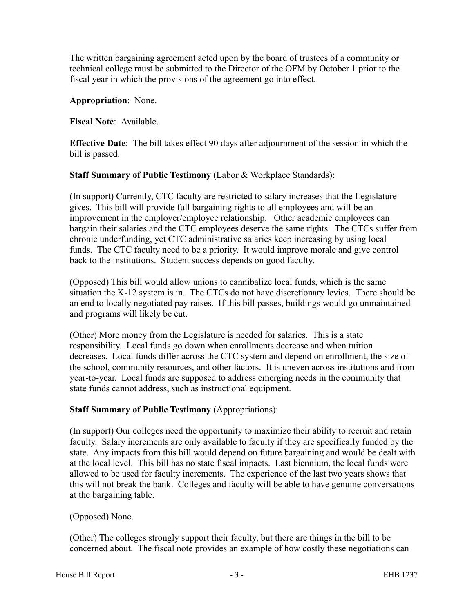The written bargaining agreement acted upon by the board of trustees of a community or technical college must be submitted to the Director of the OFM by October 1 prior to the fiscal year in which the provisions of the agreement go into effect.

**Appropriation**: None.

**Fiscal Note**: Available.

**Effective Date**: The bill takes effect 90 days after adjournment of the session in which the bill is passed.

**Staff Summary of Public Testimony** (Labor & Workplace Standards):

(In support) Currently, CTC faculty are restricted to salary increases that the Legislature gives. This bill will provide full bargaining rights to all employees and will be an improvement in the employer/employee relationship. Other academic employees can bargain their salaries and the CTC employees deserve the same rights. The CTCs suffer from chronic underfunding, yet CTC administrative salaries keep increasing by using local funds. The CTC faculty need to be a priority. It would improve morale and give control back to the institutions. Student success depends on good faculty.

(Opposed) This bill would allow unions to cannibalize local funds, which is the same situation the K-12 system is in. The CTCs do not have discretionary levies. There should be an end to locally negotiated pay raises. If this bill passes, buildings would go unmaintained and programs will likely be cut.

(Other) More money from the Legislature is needed for salaries. This is a state responsibility. Local funds go down when enrollments decrease and when tuition decreases. Local funds differ across the CTC system and depend on enrollment, the size of the school, community resources, and other factors. It is uneven across institutions and from year-to-year. Local funds are supposed to address emerging needs in the community that state funds cannot address, such as instructional equipment.

### **Staff Summary of Public Testimony** (Appropriations):

(In support) Our colleges need the opportunity to maximize their ability to recruit and retain faculty. Salary increments are only available to faculty if they are specifically funded by the state. Any impacts from this bill would depend on future bargaining and would be dealt with at the local level. This bill has no state fiscal impacts. Last biennium, the local funds were allowed to be used for faculty increments. The experience of the last two years shows that this will not break the bank. Colleges and faculty will be able to have genuine conversations at the bargaining table.

### (Opposed) None.

(Other) The colleges strongly support their faculty, but there are things in the bill to be concerned about. The fiscal note provides an example of how costly these negotiations can